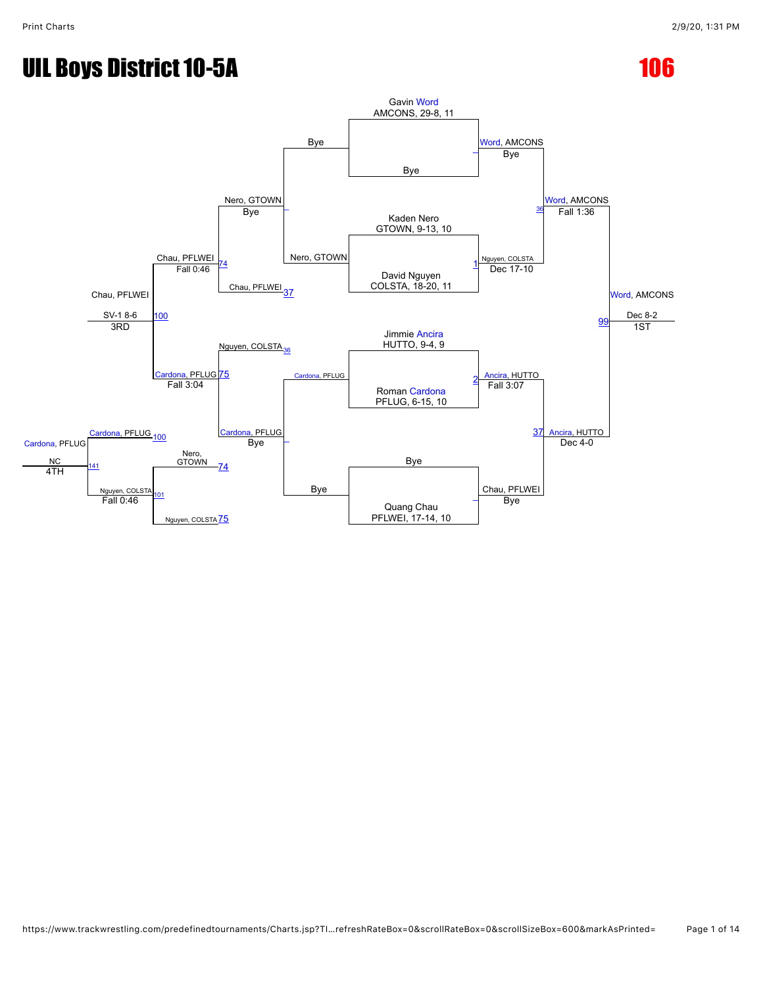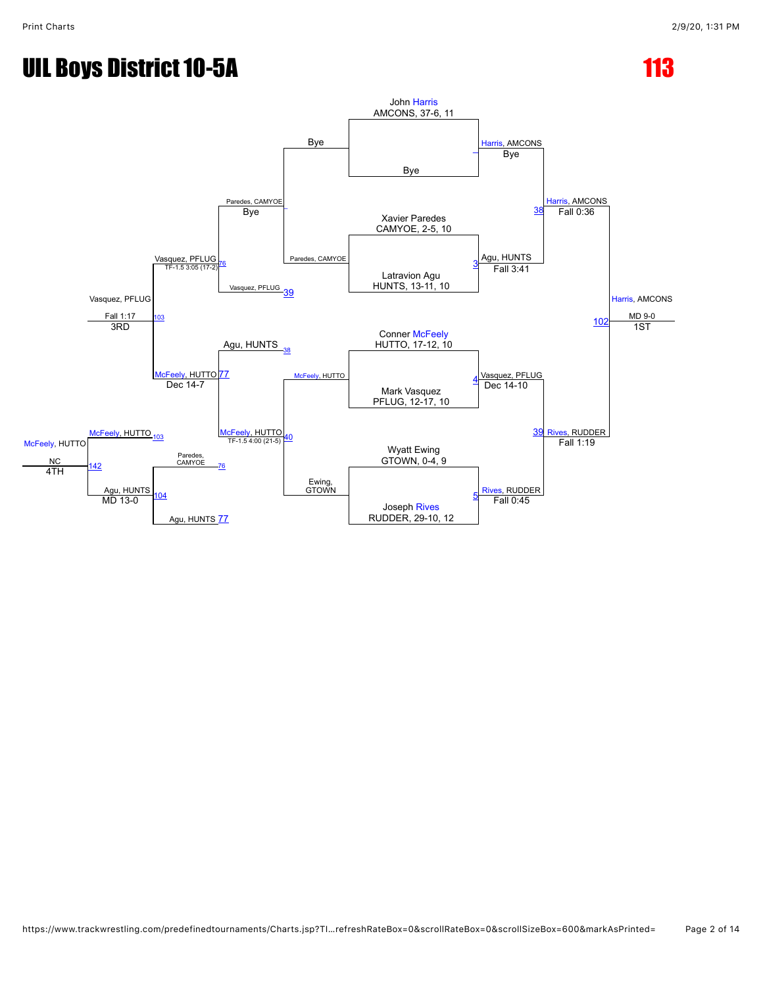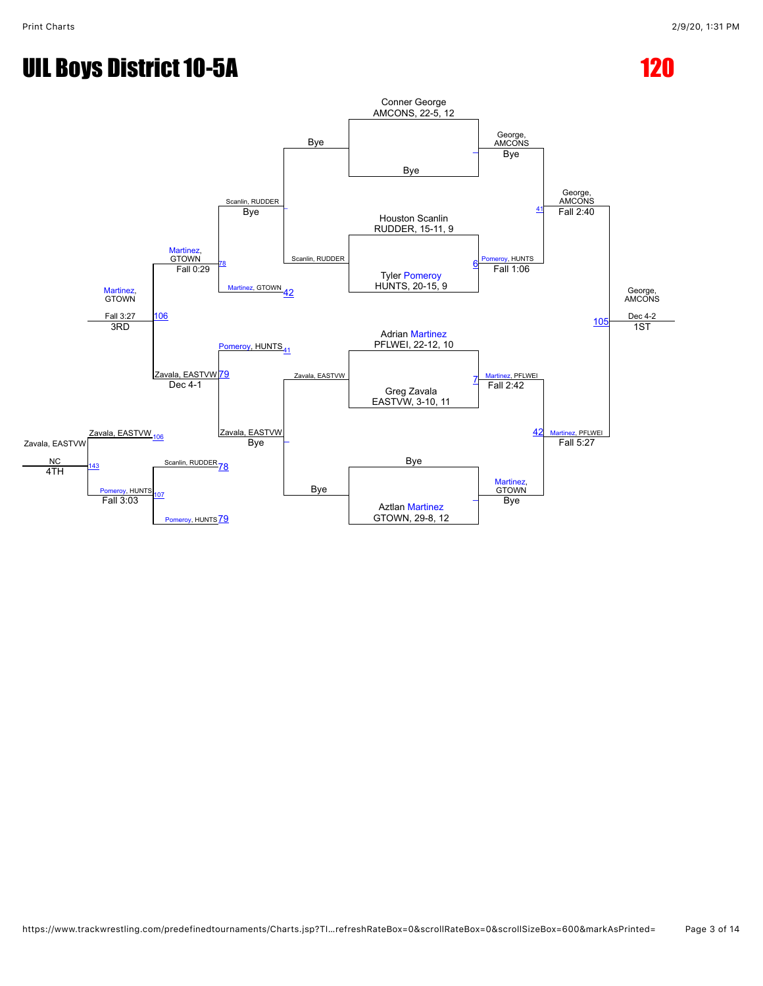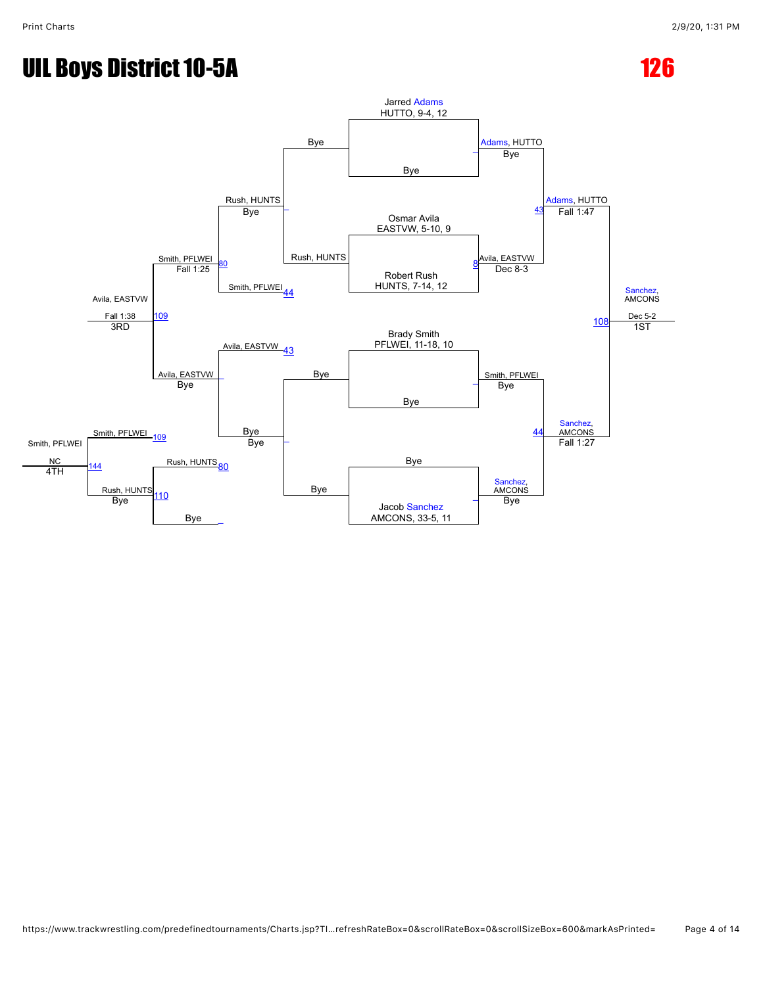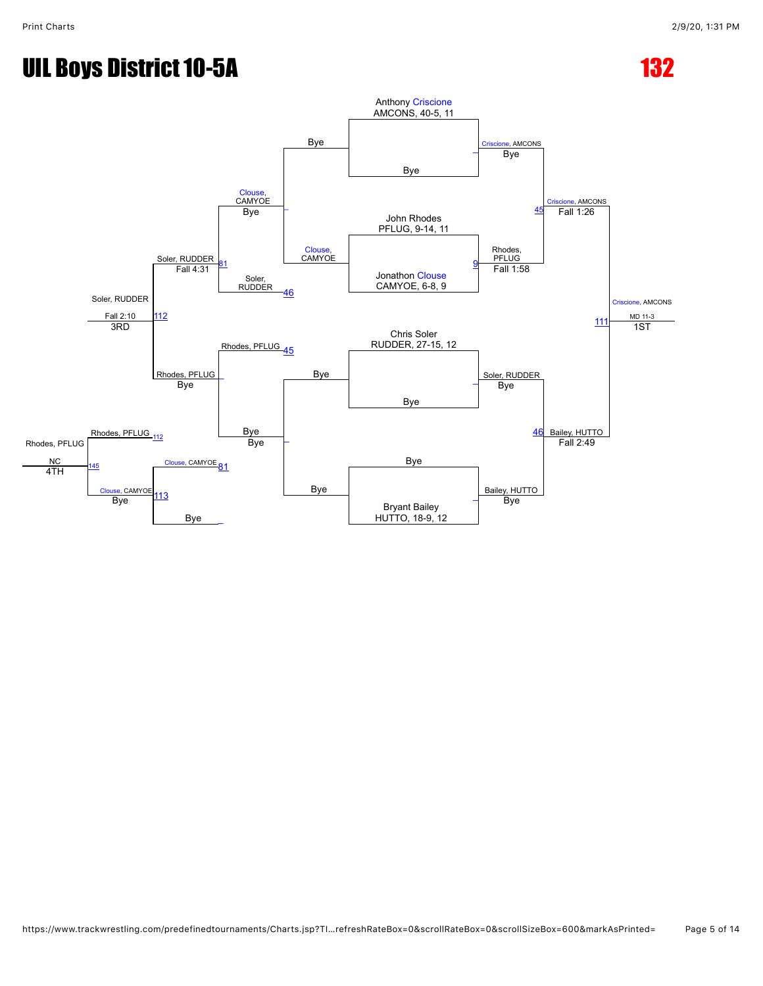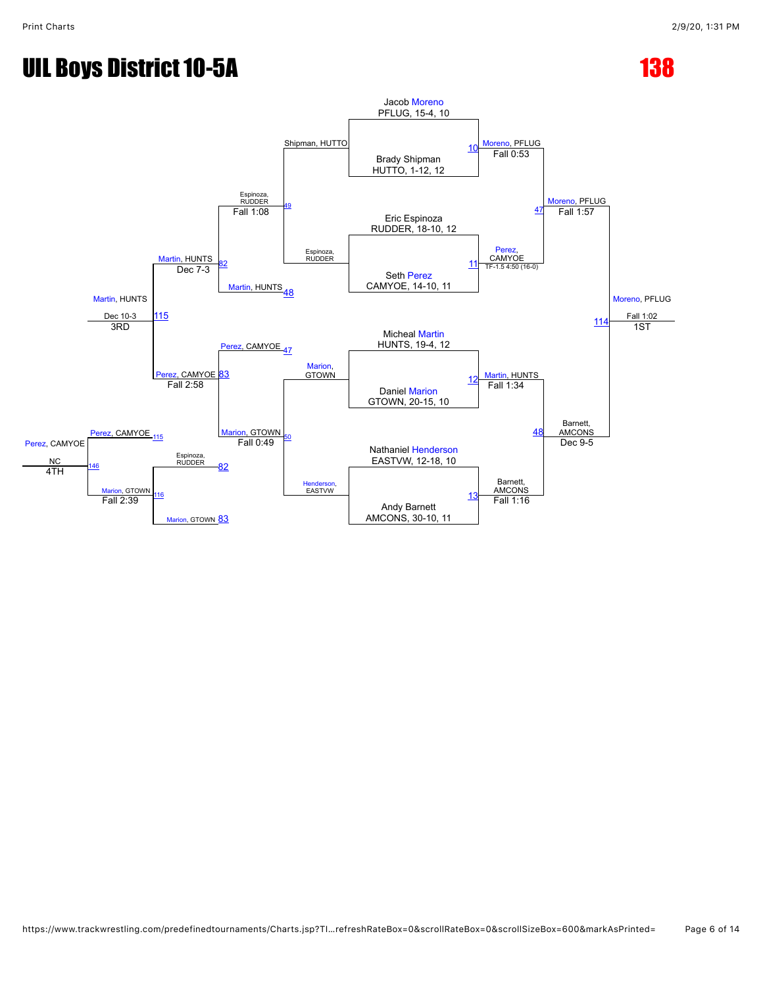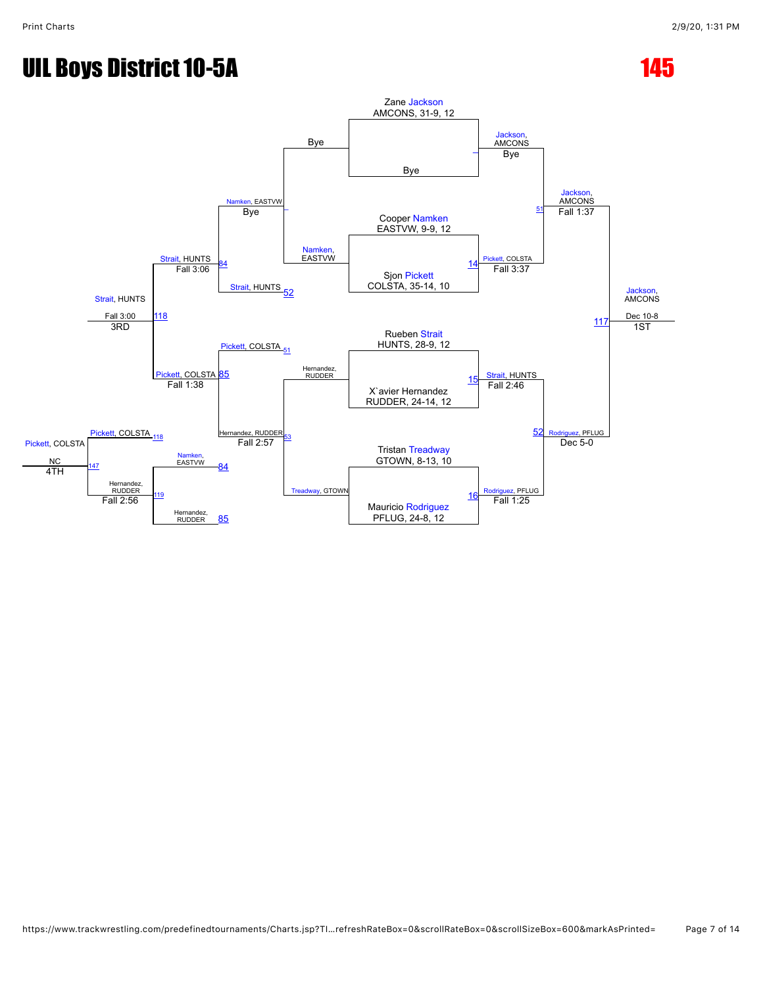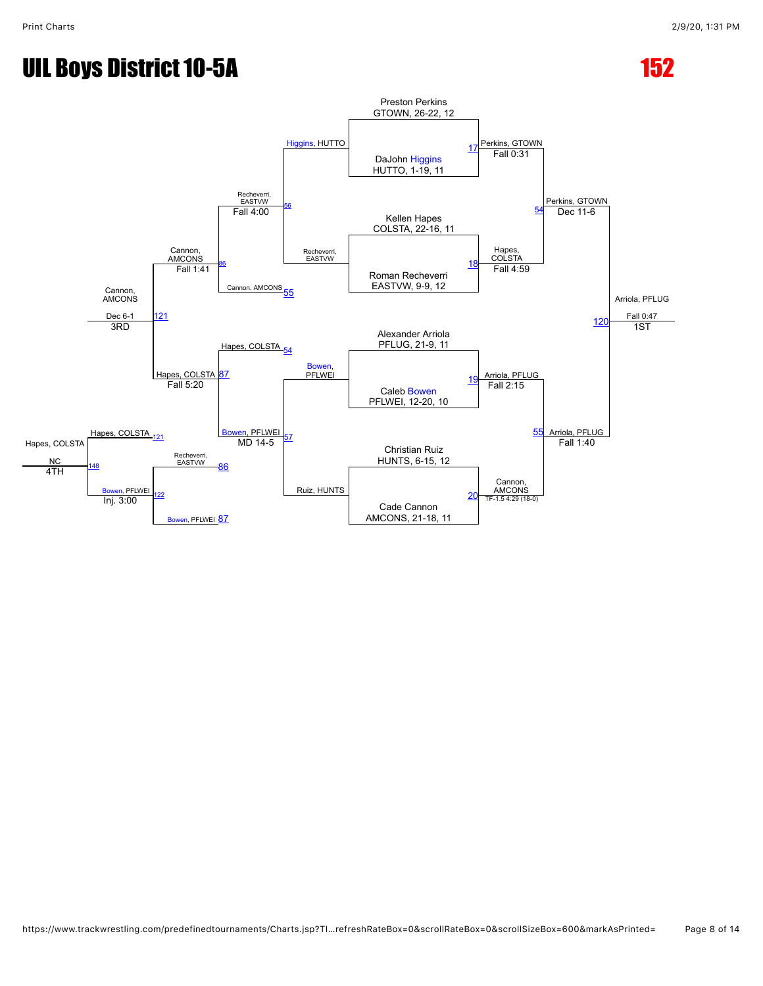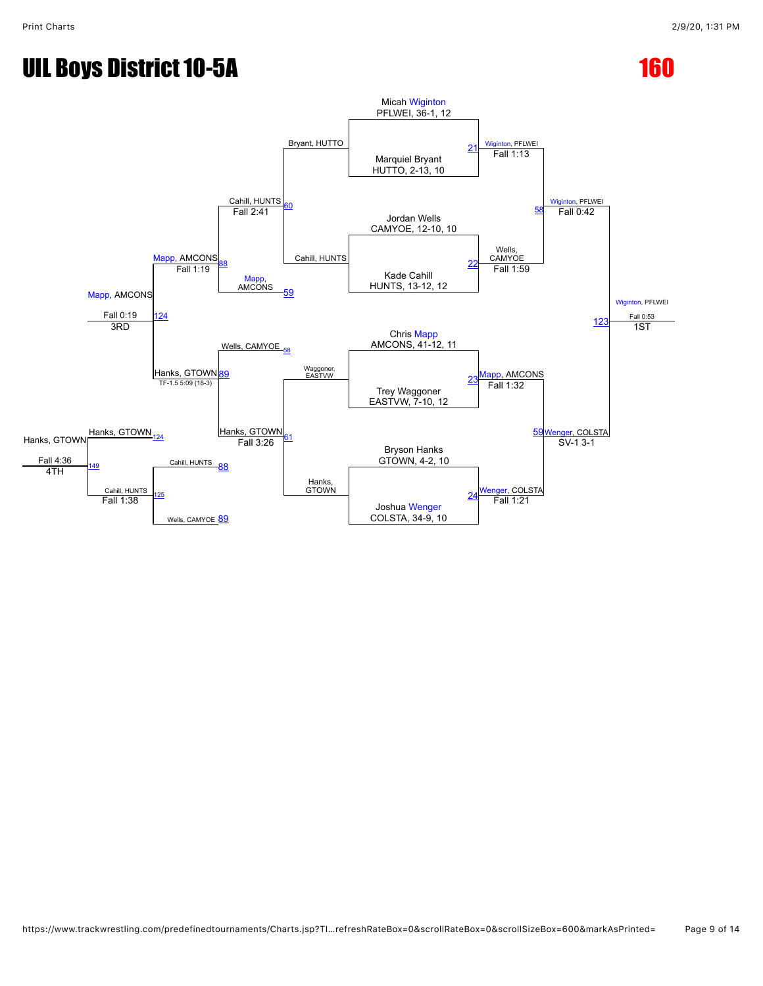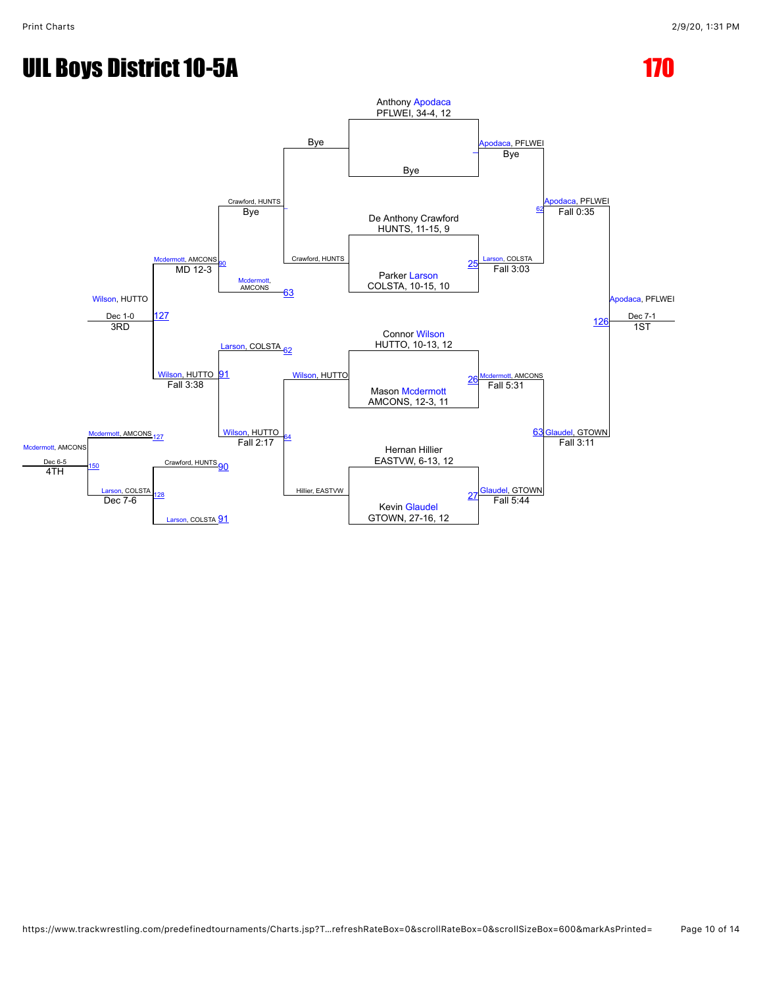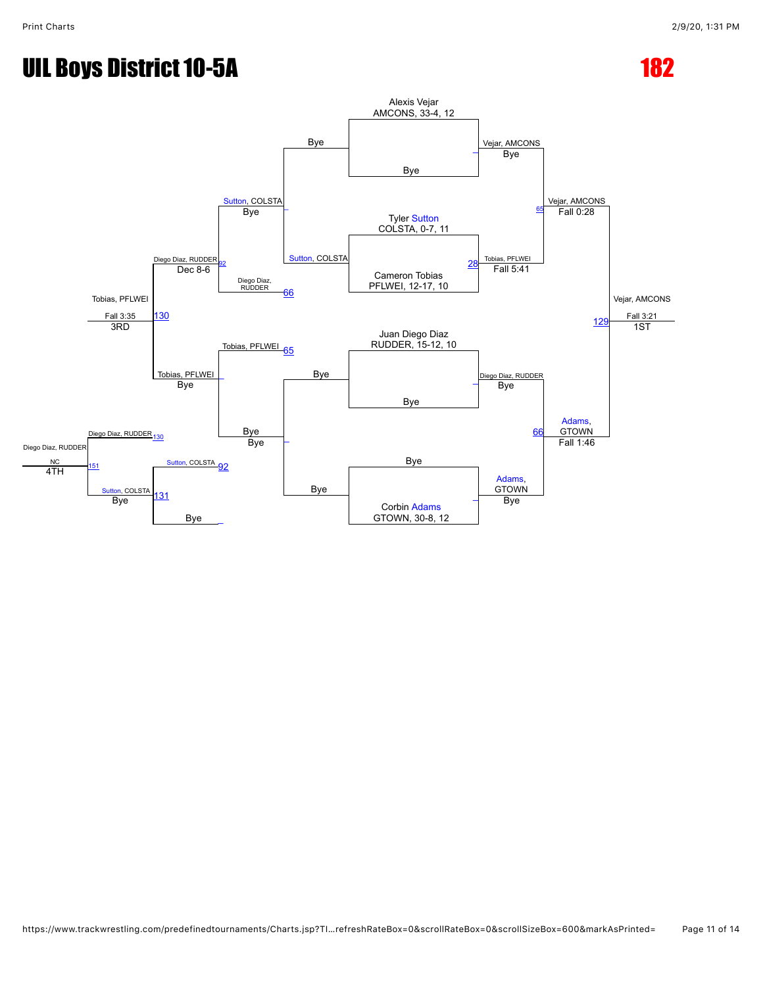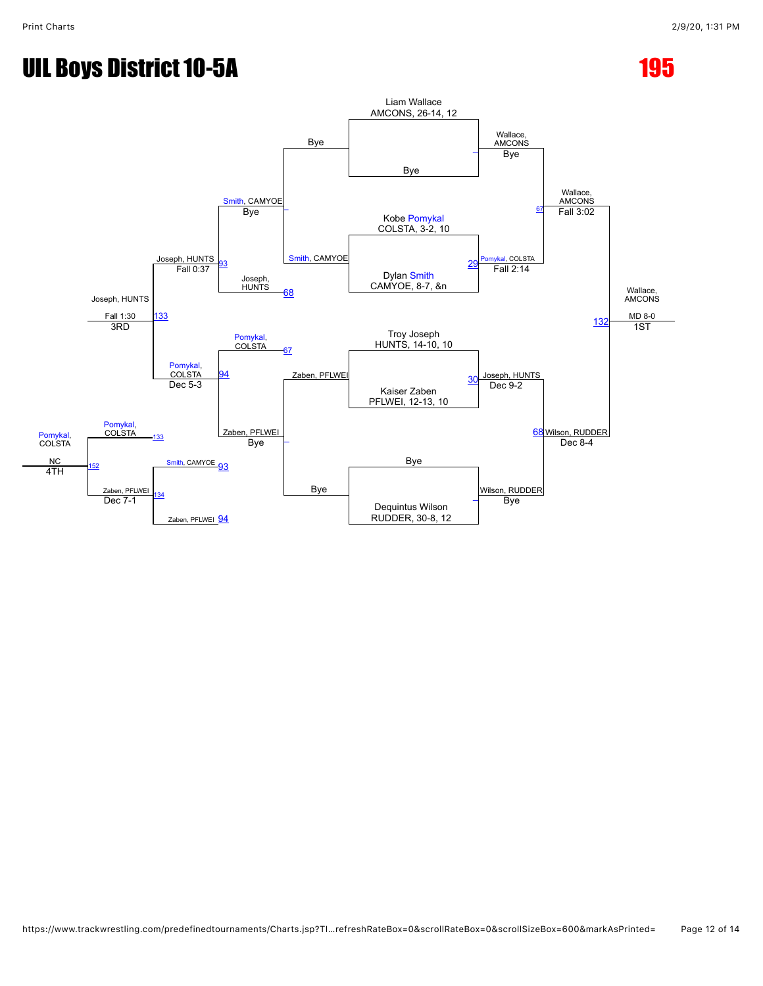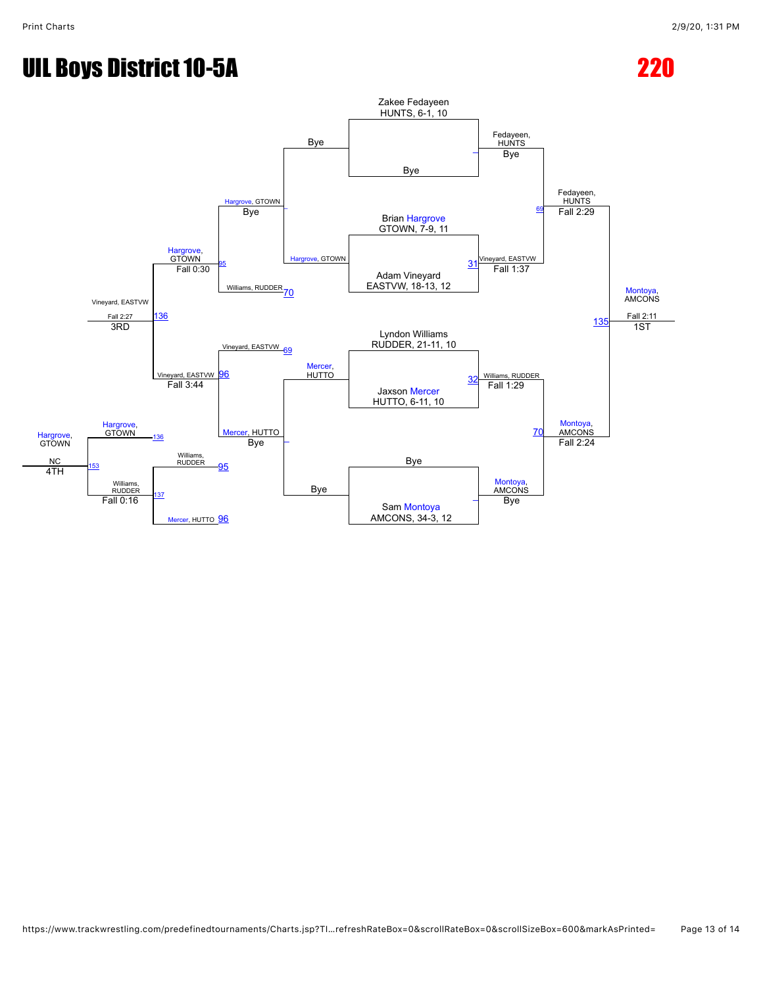![](_page_12_Figure_3.jpeg)